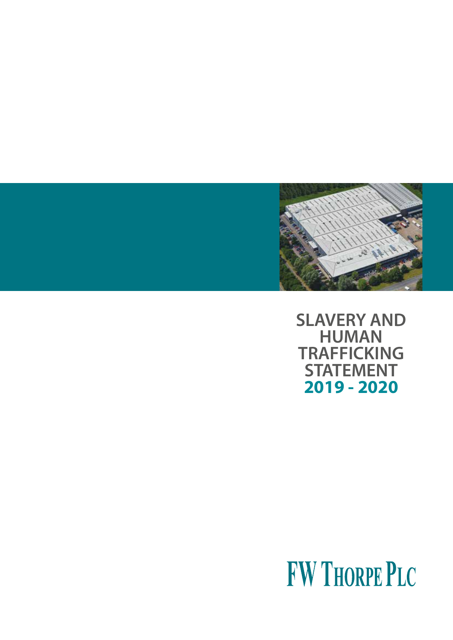

**SLAVERY AND HUMAN TRAFFICKING STATEMENT 2019 - 2020**

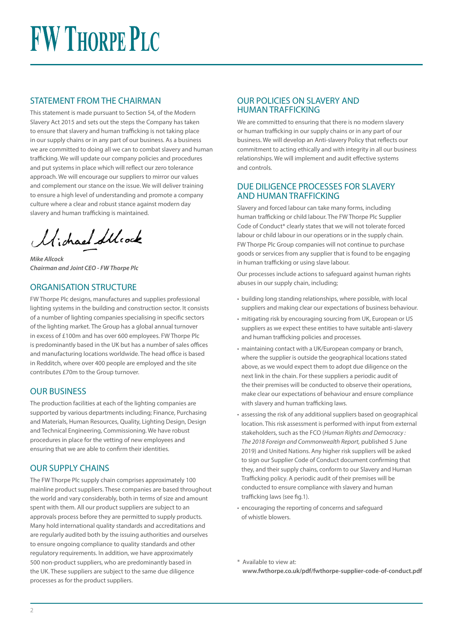# **FW THORPE PLC**

## STATEMENT FROM THE CHAIRMAN

This statement is made pursuant to Section 54, of the Modern Slavery Act 2015 and sets out the steps the Company has taken to ensure that slavery and human trafficking is not taking place in our supply chains or in any part of our business. As a business we are committed to doing all we can to combat slavery and human trafficking. We will update our company policies and procedures and put systems in place which will reflect our zero tolerance approach. We will encourage our suppliers to mirror our values and complement our stance on the issue. We will deliver training to ensure a high level of understanding and promote a company culture where a clear and robust stance against modern day slavery and human trafficking is maintained.

Michael Stlock

*Mike Allcock Chairman and Joint CEO - FW Thorpe Plc*

## ORGANISATION STRUCTURE

FW Thorpe Plc designs, manufactures and supplies professional lighting systems in the building and construction sector. It consists of a number of lighting companies specialising in specific sectors of the lighting market. The Group has a global annual turnover in excess of £100m and has over 600 employees. FW Thorpe Plc is predominantly based in the UK but has a number of sales offices and manufacturing locations worldwide. The head office is based in Redditch, where over 400 people are employed and the site contributes £70m to the Group turnover.

### OUR BUSINESS

The production facilities at each of the lighting companies are supported by various departments including; Finance, Purchasing and Materials, Human Resources, Quality, Lighting Design, Design and Technical Engineering, Commissioning. We have robust procedures in place for the vetting of new employees and ensuring that we are able to confirm their identities.

## OUR SUPPLY CHAINS

The FW Thorpe Plc supply chain comprises approximately 100 mainline product suppliers. These companies are based throughout the world and vary considerably, both in terms of size and amount spent with them. All our product suppliers are subject to an approvals process before they are permitted to supply products. Many hold international quality standards and accreditations and are regularly audited both by the issuing authorities and ourselves to ensure ongoing compliance to quality standards and other regulatory requirements. In addition, we have approximately 500 non-product suppliers, who are predominantly based in the UK. These suppliers are subject to the same due diligence processes as for the product suppliers.

## OUR POLICIES ON SLAVERY AND HUMAN TRAFFICKING

We are committed to ensuring that there is no modern slavery or human trafficking in our supply chains or in any part of our business. We will develop an Anti-slavery Policy that reflects our commitment to acting ethically and with integrity in all our business relationships. We will implement and audit effective systems and controls.

### DUE DILIGENCE PROCESSES FOR SLAVERY AND HUMAN TRAFFICKING

Slavery and forced labour can take many forms, including human trafficking or child labour. The FW Thorpe Plc Supplier Code of Conduct\* clearly states that we will not tolerate forced labour or child labour in our operations or in the supply chain. FW Thorpe Plc Group companies will not continue to purchase goods or services from any supplier that is found to be engaging in human trafficking or using slave labour.

Our processes include actions to safeguard against human rights abuses in our supply chain, including;

- building long standing relationships, where possible, with local suppliers and making clear our expectations of business behaviour.
- mitigating risk by encouraging sourcing from UK, European or US suppliers as we expect these entities to have suitable anti-slavery and human trafficking policies and processes.
- maintaining contact with a UK/European company or branch, where the supplier is outside the geographical locations stated above, as we would expect them to adopt due diligence on the next link in the chain. For these suppliers a periodic audit of the their premises will be conducted to observe their operations, make clear our expectations of behaviour and ensure compliance with slavery and human trafficking laws.
- assessing the risk of any additional suppliers based on geographical location. This risk assessment is performed with input from external stakeholders, such as the FCO (*Human Rights and Democracy : The 2018 Foreign and Commonwealth Report,* published 5 June 2019) and United Nations. Any higher risk suppliers will be asked to sign our Supplier Code of Conduct document confirming that they, and their supply chains, conform to our Slavery and Human Trafficking policy. A periodic audit of their premises will be conducted to ensure compliance with slavery and human trafficking laws (see fig.1).
- encouraging the reporting of concerns and safeguard of whistle blowers.
- \* Available to view at: **www.fwthorpe.co.uk/pdf/fwthorpe-supplier-code-of-conduct.pdf**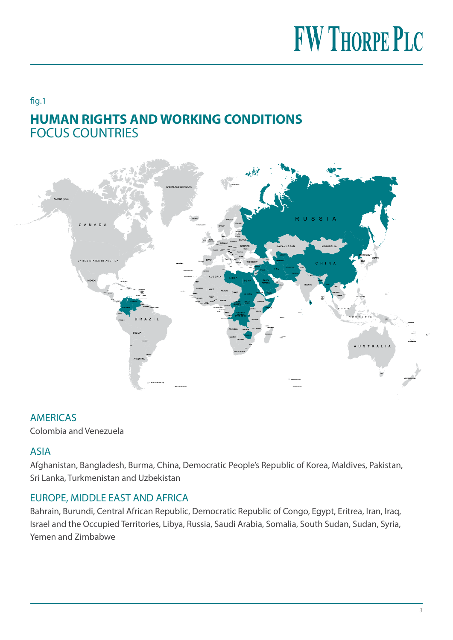## **FW THORPE PLC**

## fig.1 **HUMAN RIGHTS AND WORKING CONDITIONS**  FOCUS COUNTRIES



## AMERICAS

Colombia and Venezuela

## ASIA

Afghanistan, Bangladesh, Burma, China, Democratic People's Republic of Korea, Maldives, Pakistan, Sri Lanka, Turkmenistan and Uzbekistan

## EUROPE, MIDDLE EAST AND AFRICA

Bahrain, Burundi, Central African Republic, Democratic Republic of Congo, Egypt, Eritrea, Iran, Iraq, Israel and the Occupied Territories, Libya, Russia, Saudi Arabia, Somalia, South Sudan, Sudan, Syria, Yemen and Zimbabwe